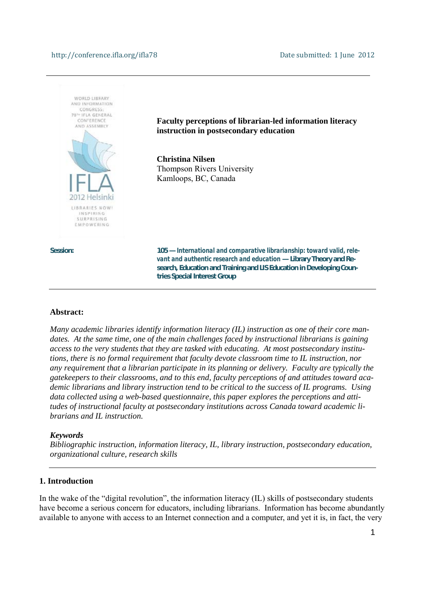## http://conference.ifla.org/ifla78 Date submitted: 1 June 2012



## **Abstract:**

*Many academic libraries identify information literacy (IL) instruction as one of their core mandates. At the same time, one of the main challenges faced by instructional librarians is gaining access to the very students that they are tasked with educating. At most postsecondary institutions, there is no formal requirement that faculty devote classroom time to IL instruction, nor any requirement that a librarian participate in its planning or delivery. Faculty are typically the gatekeepers to their classrooms, and to this end, faculty perceptions of and attitudes toward academic librarians and library instruction tend to be critical to the success of IL programs. Using data collected using a web-based questionnaire, this paper explores the perceptions and attitudes of instructional faculty at postsecondary institutions across Canada toward academic librarians and IL instruction.* 

#### *Keywords*

*Bibliographic instruction, information literacy, IL, library instruction, postsecondary education, organizational culture, research skills* 

## **1. Introduction**

In the wake of the "digital revolution", the information literacy (IL) skills of postsecondary students have become a serious concern for educators, including librarians. Information has become abundantly available to anyone with access to an Internet connection and a computer, and yet it is, in fact, the very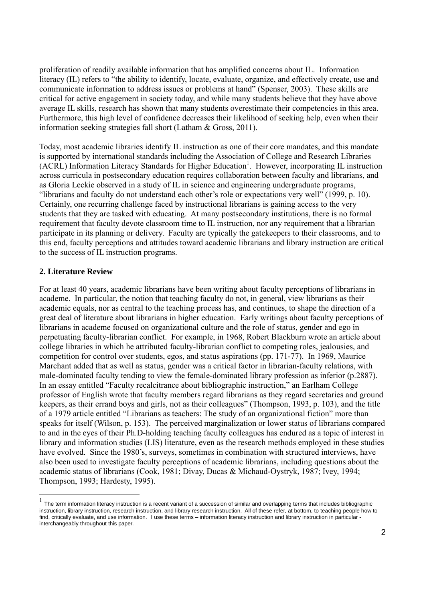proliferation of readily available information that has amplified concerns about IL. Information literacy (IL) refers to "the ability to identify, locate, evaluate, organize, and effectively create, use and communicate information to address issues or problems at hand" (Spenser, 2003). These skills are critical for active engagement in society today, and while many students believe that they have above average IL skills, research has shown that many students overestimate their competencies in this area. Furthermore, this high level of confidence decreases their likelihood of seeking help, even when their information seeking strategies fall short (Latham & Gross, 2011).

Today, most academic libraries identify IL instruction as one of their core mandates, and this mandate is supported by international standards including the Association of College and Research Libraries (ACRL) Information Literacy Standards for Higher Education<sup>1</sup>. However, incorporating IL instruction across curricula in postsecondary education requires collaboration between faculty and librarians, and as Gloria Leckie observed in a study of IL in science and engineering undergraduate programs, "librarians and faculty do not understand each other's role or expectations very well" (1999, p. 10). Certainly, one recurring challenge faced by instructional librarians is gaining access to the very students that they are tasked with educating. At many postsecondary institutions, there is no formal requirement that faculty devote classroom time to IL instruction, nor any requirement that a librarian participate in its planning or delivery. Faculty are typically the gatekeepers to their classrooms, and to this end, faculty perceptions and attitudes toward academic librarians and library instruction are critical to the success of IL instruction programs.

## **2. Literature Review**

For at least 40 years, academic librarians have been writing about faculty perceptions of librarians in academe. In particular, the notion that teaching faculty do not, in general, view librarians as their academic equals, nor as central to the teaching process has, and continues, to shape the direction of a great deal of literature about librarians in higher education. Early writings about faculty perceptions of librarians in academe focused on organizational culture and the role of status, gender and ego in perpetuating faculty-librarian conflict. For example, in 1968, Robert Blackburn wrote an article about college libraries in which he attributed faculty-librarian conflict to competing roles, jealousies, and competition for control over students, egos, and status aspirations (pp. 171-77). In 1969, Maurice Marchant added that as well as status, gender was a critical factor in librarian-faculty relations, with male-dominated faculty tending to view the female-dominated library profession as inferior (p.2887). In an essay entitled "Faculty recalcitrance about bibliographic instruction," an Earlham College professor of English wrote that faculty members regard librarians as they regard secretaries and ground keepers, as their errand boys and girls, not as their colleagues" (Thompson, 1993, p. 103), and the title of a 1979 article entitled "Librarians as teachers: The study of an organizational fiction" more than speaks for itself (Wilson, p. 153). The perceived marginalization or lower status of librarians compared to and in the eyes of their Ph.D-holding teaching faculty colleagues has endured as a topic of interest in library and information studies (LIS) literature, even as the research methods employed in these studies have evolved. Since the 1980's, surveys, sometimes in combination with structured interviews, have also been used to investigate faculty perceptions of academic librarians, including questions about the academic status of librarians (Cook, 1981; Divay, Ducas & Michaud-Oystryk, 1987; Ivey, 1994; Thompson, 1993; Hardesty, 1995).

 $1$  The term information literacy instruction is a recent variant of a succession of similar and overlapping terms that includes bibliographic instruction, library instruction, research instruction, and library research instruction. All of these refer, at bottom, to teaching people how to find, critically evaluate, and use information. I use these terms – information literacy instruction and library instruction in particular interchangeably throughout this paper.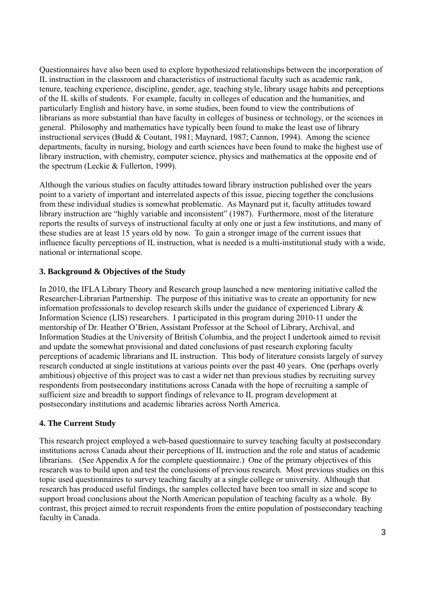Questionnaires have also been used to explore hypothesized relationships between the incorporation of IL instruction in the classroom and characteristics of instructional faculty such as academic rank, tenure, teaching experience, discipline, gender, age, teaching style, library usage habits and perceptions of the IL skills of students. For example, faculty in colleges of education and the humanities, and particularly English and history have, in some studies, been found to view the contributions of librarians as more substantial than have faculty in colleges of business or technology, or the sciences in general. Philosophy and mathematics have typically been found to make the least use of library instructional services (Budd & Coutant, 1981; Maynard, 1987; Cannon, 1994). Among the science departments, faculty in nursing, biology and earth sciences have been found to make the highest use of library instruction, with chemistry, computer science, physics and mathematics at the opposite end of the spectrum (Leckie & Fullerton, 1999).

Although the various studies on faculty attitudes toward library instruction published over the years point to a variety of important and interrelated aspects of this issue, piecing together the conclusions from these individual studies is somewhat problematic. As Maynard put it, faculty attitudes toward library instruction are "highly variable and inconsistent" (1987). Furthermore, most of the literature reports the results of surveys of instructional faculty at only one or just a few institutions, and many of these studies are at least 15 years old by now. To gain a stronger image of the current issues that influence faculty perceptions of IL instruction, what is needed is a multi-institutional study with a wide, national or international scope.

# **3. Background & Objectives of the Study**

In 2010, the IFLA Library Theory and Research group launched a new mentoring initiative called the Researcher-Librarian Partnership. The purpose of this initiative was to create an opportunity for new information professionals to develop research skills under the guidance of experienced Library & Information Science (LIS) researchers. I participated in this program during 2010-11 under the mentorship of Dr. Heather O'Brien, Assistant Professor at the School of Library, Archival, and Information Studies at the University of British Columbia, and the project I undertook aimed to revisit and update the somewhat provisional and dated conclusions of past research exploring faculty perceptions of academic librarians and IL instruction. This body of literature consists largely of survey research conducted at single institutions at various points over the past 40 years. One (perhaps overly ambitious) objective of this project was to cast a wider net than previous studies by recruiting survey respondents from postsecondary institutions across Canada with the hope of recruiting a sample of sufficient size and breadth to support findings of relevance to IL program development at postsecondary institutions and academic libraries across North America.

# **4. The Current Study**

This research project employed a web-based questionnaire to survey teaching faculty at postsecondary institutions across Canada about their perceptions of IL instruction and the role and status of academic librarians. (See Appendix A for the complete questionnaire.) One of the primary objectives of this research was to build upon and test the conclusions of previous research. Most previous studies on this topic used questionnaires to survey teaching faculty at a single college or university. Although that research has produced useful findings, the samples collected have been too small in size and scope to support broad conclusions about the North American population of teaching faculty as a whole. By contrast, this project aimed to recruit respondents from the entire population of postsecondary teaching faculty in Canada.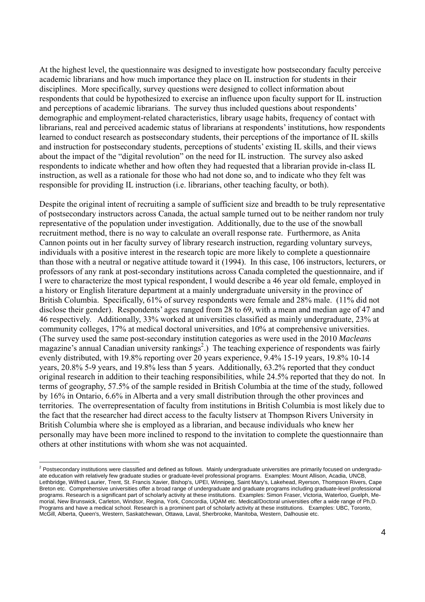At the highest level, the questionnaire was designed to investigate how postsecondary faculty perceive academic librarians and how much importance they place on IL instruction for students in their disciplines. More specifically, survey questions were designed to collect information about respondents that could be hypothesized to exercise an influence upon faculty support for IL instruction and perceptions of academic librarians. The survey thus included questions about respondents' demographic and employment-related characteristics, library usage habits, frequency of contact with librarians, real and perceived academic status of librarians at respondents' institutions, how respondents learned to conduct research as postsecondary students, their perceptions of the importance of IL skills and instruction for postsecondary students, perceptions of students' existing IL skills, and their views about the impact of the "digital revolution" on the need for IL instruction. The survey also asked respondents to indicate whether and how often they had requested that a librarian provide in-class IL instruction, as well as a rationale for those who had not done so, and to indicate who they felt was responsible for providing IL instruction (i.e. librarians, other teaching faculty, or both).

Despite the original intent of recruiting a sample of sufficient size and breadth to be truly representative of postsecondary instructors across Canada, the actual sample turned out to be neither random nor truly representative of the population under investigation. Additionally, due to the use of the snowball recruitment method, there is no way to calculate an overall response rate. Furthermore, as Anita Cannon points out in her faculty survey of library research instruction, regarding voluntary surveys, individuals with a positive interest in the research topic are more likely to complete a questionnaire than those with a neutral or negative attitude toward it (1994). In this case, 106 instructors, lecturers, or professors of any rank at post-secondary institutions across Canada completed the questionnaire, and if I were to characterize the most typical respondent, I would describe a 46 year old female, employed in a history or English literature department at a mainly undergraduate university in the province of British Columbia. Specifically, 61% of survey respondents were female and 28% male. (11% did not disclose their gender). Respondents' ages ranged from 28 to 69, with a mean and median age of 47 and 46 respectively. Additionally, 33% worked at universities classified as mainly undergraduate, 23% at community colleges, 17% at medical doctoral universities, and 10% at comprehensive universities. (The survey used the same post-secondary institution categories as were used in the 2010 *Macleans* magazine's annual Canadian university rankings<sup>2</sup>.) The teaching experience of respondents was fairly evenly distributed, with 19.8% reporting over 20 years experience, 9.4% 15-19 years, 19.8% 10-14 years, 20.8% 5-9 years, and 19.8% less than 5 years. Additionally, 63.2% reported that they conduct original research in addition to their teaching responsibilities, while 24.5% reported that they do not. In terms of geography, 57.5% of the sample resided in British Columbia at the time of the study, followed by 16% in Ontario, 6.6% in Alberta and a very small distribution through the other provinces and territories. The overrepresentation of faculty from institutions in British Columbia is most likely due to the fact that the researcher had direct access to the faculty listserv at Thompson Rivers University in British Columbia where she is employed as a librarian, and because individuals who knew her personally may have been more inclined to respond to the invitation to complete the questionnaire than others at other institutions with whom she was not acquainted.

 2 Postsecondary institutions were classified and defined as follows. Mainly undergraduate universities are primarily focused on undergraduate education with relatively few graduate studies or graduate-level professional programs. Examples: Mount Allison, Acadia, UNCB, Lethbridge, Wilfred Laurier, Trent, St. Francis Xavier, Bishop's, UPEI, Winnipeg, Saint Mary's, Lakehead, Ryerson, Thompson Rivers, Cape Breton etc. Comprehensive universities offer a broad range of undergraduate and graduate programs including graduate-level professional programs. Research is a significant part of scholarly activity at these institutions. Examples: Simon Fraser, Victoria, Waterloo, Guelph, Memorial, New Brunswick, Carleton, Windsor, Regina, York, Concordia, UQAM etc. Medical/Doctoral universities offer a wide range of Ph.D. Programs and have a medical school. Research is a prominent part of scholarly activity at these institutions. Examples: UBC, Toronto, McGill, Alberta, Queen's, Western, Saskatchewan, Ottawa, Laval, Sherbrooke, Manitoba, Western, Dalhousie etc.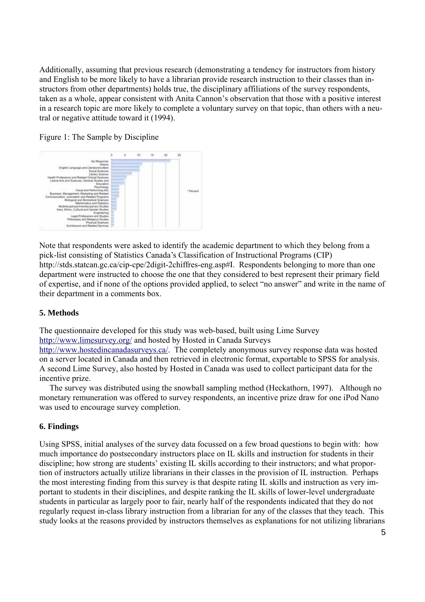Additionally, assuming that previous research (demonstrating a tendency for instructors from history and English to be more likely to have a librarian provide research instruction to their classes than instructors from other departments) holds true, the disciplinary affiliations of the survey respondents, taken as a whole, appear consistent with Anita Cannon's observation that those with a positive interest in a research topic are more likely to complete a voluntary survey on that topic, than others with a neutral or negative attitude toward it (1994).

Figure 1: The Sample by Discipline



Note that respondents were asked to identify the academic department to which they belong from a pick-list consisting of Statistics Canada's Classification of Instructional Programs (CIP) http://stds.statcan.gc.ca/cip-cpe/2digit-2chiffres-eng.asp#I. Respondents belonging to more than one department were instructed to choose the one that they considered to best represent their primary field of expertise, and if none of the options provided applied, to select "no answer" and write in the name of their department in a comments box.

# **5. Methods**

The questionnaire developed for this study was web-based, built using Lime Survey http://www.limesurvey.org/ and hosted by Hosted in Canada Surveys

http://www.hostedincanadasurveys.ca/. The completely anonymous survey response data was hosted on a server located in Canada and then retrieved in electronic format, exportable to SPSS for analysis. A second Lime Survey, also hosted by Hosted in Canada was used to collect participant data for the incentive prize.

The survey was distributed using the snowball sampling method (Heckathorn, 1997). Although no monetary remuneration was offered to survey respondents, an incentive prize draw for one iPod Nano was used to encourage survey completion.

# **6. Findings**

Using SPSS, initial analyses of the survey data focussed on a few broad questions to begin with: how much importance do postsecondary instructors place on IL skills and instruction for students in their discipline; how strong are students' existing IL skills according to their instructors; and what proportion of instructors actually utilize librarians in their classes in the provision of IL instruction. Perhaps the most interesting finding from this survey is that despite rating IL skills and instruction as very important to students in their disciplines, and despite ranking the IL skills of lower-level undergraduate students in particular as largely poor to fair, nearly half of the respondents indicated that they do not regularly request in-class library instruction from a librarian for any of the classes that they teach. This study looks at the reasons provided by instructors themselves as explanations for not utilizing librarians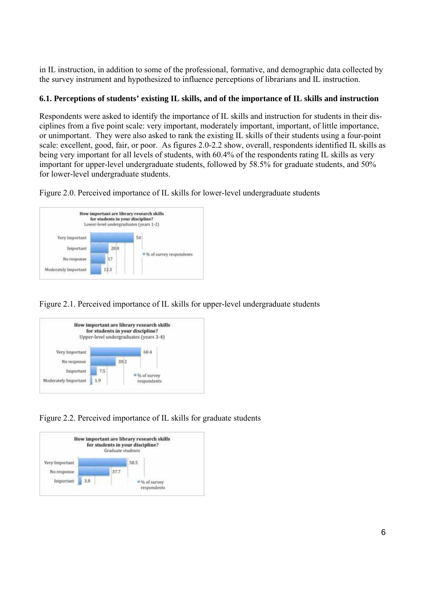in IL instruction, in addition to some of the professional, formative, and demographic data collected by the survey instrument and hypothesized to influence perceptions of librarians and IL instruction.

# **6.1. Perceptions of students' existing IL skills, and of the importance of IL skills and instruction**

Respondents were asked to identify the importance of IL skills and instruction for students in their disciplines from a five point scale: very important, moderately important, important, of little importance, or unimportant. They were also asked to rank the existing IL skills of their students using a four-point scale: excellent, good, fair, or poor. As figures 2.0-2.2 show, overall, respondents identified IL skills as being very important for all levels of students, with 60.4% of the respondents rating IL skills as very important for upper-level undergraduate students, followed by 58.5% for graduate students, and 50% for lower-level undergraduate students.

Figure 2.0. Perceived importance of IL skills for lower-level undergraduate students



Figure 2.1. Perceived importance of IL skills for upper-level undergraduate students



Figure 2.2. Perceived importance of IL skills for graduate students

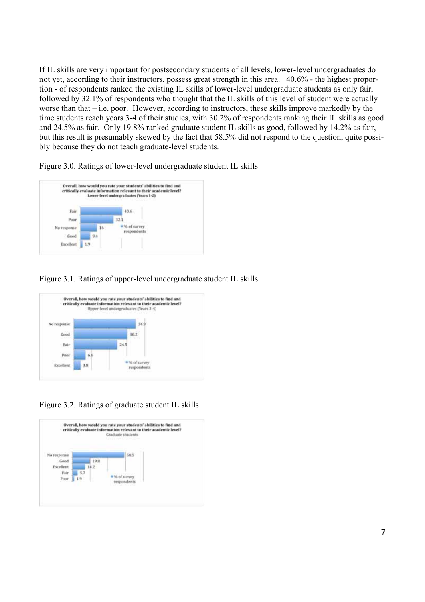If IL skills are very important for postsecondary students of all levels, lower-level undergraduates do not yet, according to their instructors, possess great strength in this area. 40.6% - the highest proportion - of respondents ranked the existing IL skills of lower-level undergraduate students as only fair, followed by 32.1% of respondents who thought that the IL skills of this level of student were actually worse than that – i.e. poor. However, according to instructors, these skills improve markedly by the time students reach years 3-4 of their studies, with 30.2% of respondents ranking their IL skills as good and 24.5% as fair. Only 19.8% ranked graduate student IL skills as good, followed by 14.2% as fair, but this result is presumably skewed by the fact that 58.5% did not respond to the question, quite possibly because they do not teach graduate-level students.

Figure 3.0. Ratings of lower-level undergraduate student IL skills



Figure 3.1. Ratings of upper-level undergraduate student IL skills



Figure 3.2. Ratings of graduate student IL skills

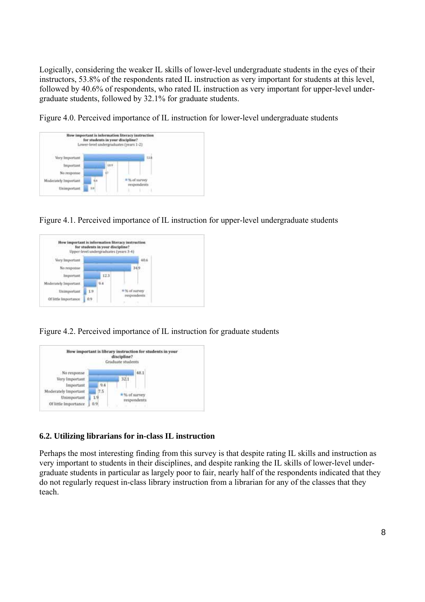Logically, considering the weaker IL skills of lower-level undergraduate students in the eyes of their instructors, 53.8% of the respondents rated IL instruction as very important for students at this level, followed by 40.6% of respondents, who rated IL instruction as very important for upper-level undergraduate students, followed by 32.1% for graduate students.

Figure 4.0. Perceived importance of IL instruction for lower-level undergraduate students



Figure 4.1. Perceived importance of IL instruction for upper-level undergraduate students



Figure 4.2. Perceived importance of IL instruction for graduate students



# **6.2. Utilizing librarians for in-class IL instruction**

Perhaps the most interesting finding from this survey is that despite rating IL skills and instruction as very important to students in their disciplines, and despite ranking the IL skills of lower-level undergraduate students in particular as largely poor to fair, nearly half of the respondents indicated that they do not regularly request in-class library instruction from a librarian for any of the classes that they teach.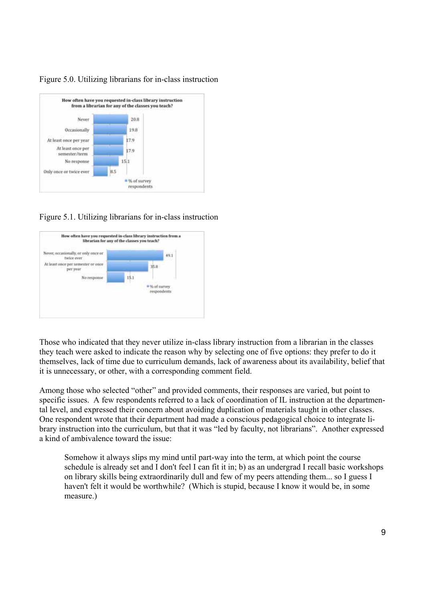

Figure 5.0. Utilizing librarians for in-class instruction

Figure 5.1. Utilizing librarians for in-class instruction



Those who indicated that they never utilize in-class library instruction from a librarian in the classes they teach were asked to indicate the reason why by selecting one of five options: they prefer to do it themselves, lack of time due to curriculum demands, lack of awareness about its availability, belief that it is unnecessary, or other, with a corresponding comment field.

Among those who selected "other" and provided comments, their responses are varied, but point to specific issues. A few respondents referred to a lack of coordination of IL instruction at the departmental level, and expressed their concern about avoiding duplication of materials taught in other classes. One respondent wrote that their department had made a conscious pedagogical choice to integrate library instruction into the curriculum, but that it was "led by faculty, not librarians". Another expressed a kind of ambivalence toward the issue:

Somehow it always slips my mind until part-way into the term, at which point the course schedule is already set and I don't feel I can fit it in; b) as an undergrad I recall basic workshops on library skills being extraordinarily dull and few of my peers attending them... so I guess I haven't felt it would be worthwhile? (Which is stupid, because I know it would be, in some measure.)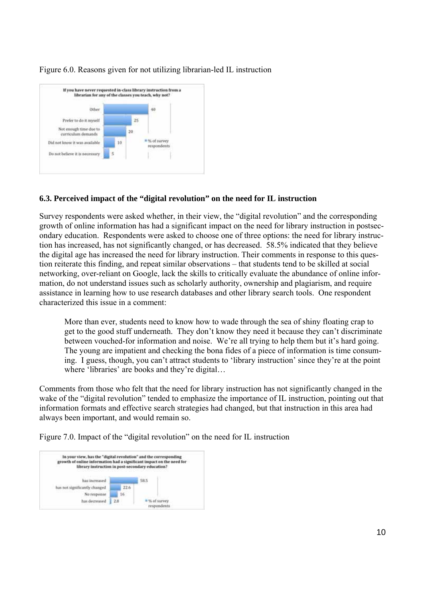

Figure 6.0. Reasons given for not utilizing librarian-led IL instruction

# **6.3. Perceived impact of the "digital revolution" on the need for IL instruction**

Survey respondents were asked whether, in their view, the "digital revolution" and the corresponding growth of online information has had a significant impact on the need for library instruction in postsecondary education. Respondents were asked to choose one of three options: the need for library instruction has increased, has not significantly changed, or has decreased. 58.5% indicated that they believe the digital age has increased the need for library instruction. Their comments in response to this question reiterate this finding, and repeat similar observations – that students tend to be skilled at social networking, over-reliant on Google, lack the skills to critically evaluate the abundance of online information, do not understand issues such as scholarly authority, ownership and plagiarism, and require assistance in learning how to use research databases and other library search tools. One respondent characterized this issue in a comment:

More than ever, students need to know how to wade through the sea of shiny floating crap to get to the good stuff underneath. They don't know they need it because they can't discriminate between vouched-for information and noise. We're all trying to help them but it's hard going. The young are impatient and checking the bona fides of a piece of information is time consuming. I guess, though, you can't attract students to 'library instruction' since they're at the point where 'libraries' are books and they're digital…

Comments from those who felt that the need for library instruction has not significantly changed in the wake of the "digital revolution" tended to emphasize the importance of IL instruction, pointing out that information formats and effective search strategies had changed, but that instruction in this area had always been important, and would remain so.

Figure 7.0. Impact of the "digital revolution" on the need for IL instruction

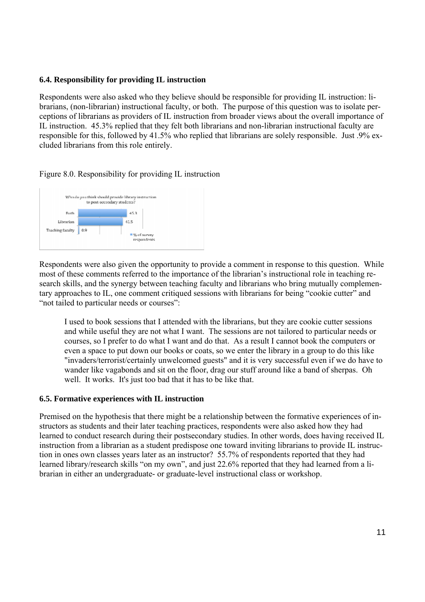## **6.4. Responsibility for providing IL instruction**

Respondents were also asked who they believe should be responsible for providing IL instruction: librarians, (non-librarian) instructional faculty, or both. The purpose of this question was to isolate perceptions of librarians as providers of IL instruction from broader views about the overall importance of IL instruction. 45.3% replied that they felt both librarians and non-librarian instructional faculty are responsible for this, followed by 41.5% who replied that librarians are solely responsible. Just .9% excluded librarians from this role entirely.

## Figure 8.0. Responsibility for providing IL instruction



Respondents were also given the opportunity to provide a comment in response to this question. While most of these comments referred to the importance of the librarian's instructional role in teaching research skills, and the synergy between teaching faculty and librarians who bring mutually complementary approaches to IL, one comment critiqued sessions with librarians for being "cookie cutter" and "not tailed to particular needs or courses":

I used to book sessions that I attended with the librarians, but they are cookie cutter sessions and while useful they are not what I want. The sessions are not tailored to particular needs or courses, so I prefer to do what I want and do that. As a result I cannot book the computers or even a space to put down our books or coats, so we enter the library in a group to do this like "invaders/terrorist/certainly unwelcomed guests" and it is very successful even if we do have to wander like vagabonds and sit on the floor, drag our stuff around like a band of sherpas. Oh well. It works. It's just too bad that it has to be like that.

## **6.5. Formative experiences with IL instruction**

Premised on the hypothesis that there might be a relationship between the formative experiences of instructors as students and their later teaching practices, respondents were also asked how they had learned to conduct research during their postsecondary studies. In other words, does having received IL instruction from a librarian as a student predispose one toward inviting librarians to provide IL instruction in ones own classes years later as an instructor? 55.7% of respondents reported that they had learned library/research skills "on my own", and just 22.6% reported that they had learned from a librarian in either an undergraduate- or graduate-level instructional class or workshop.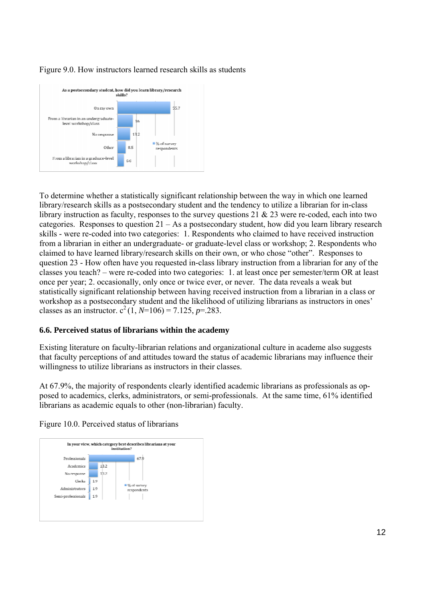

Figure 9.0. How instructors learned research skills as students

To determine whether a statistically significant relationship between the way in which one learned library/research skills as a postsecondary student and the tendency to utilize a librarian for in-class library instruction as faculty, responses to the survey questions 21 & 23 were re-coded, each into two categories. Responses to question  $21 - As$  a postsecondary student, how did you learn library research skills - were re-coded into two categories: 1. Respondents who claimed to have received instruction from a librarian in either an undergraduate- or graduate-level class or workshop; 2. Respondents who claimed to have learned library/research skills on their own, or who chose "other". Responses to question 23 - How often have you requested in-class library instruction from a librarian for any of the classes you teach? – were re-coded into two categories: 1. at least once per semester/term OR at least once per year; 2. occasionally, only once or twice ever, or never. The data reveals a weak but statistically significant relationship between having received instruction from a librarian in a class or workshop as a postsecondary student and the likelihood of utilizing librarians as instructors in ones' classes as an instructor.  $c^2$  (1, *N*=106) = 7.125, *p*=.283.

# **6.6. Perceived status of librarians within the academy**

Existing literature on faculty-librarian relations and organizational culture in academe also suggests that faculty perceptions of and attitudes toward the status of academic librarians may influence their willingness to utilize librarians as instructors in their classes.

At 67.9%, the majority of respondents clearly identified academic librarians as professionals as opposed to academics, clerks, administrators, or semi-professionals. At the same time, 61% identified librarians as academic equals to other (non-librarian) faculty.

Figure 10.0. Perceived status of librarians

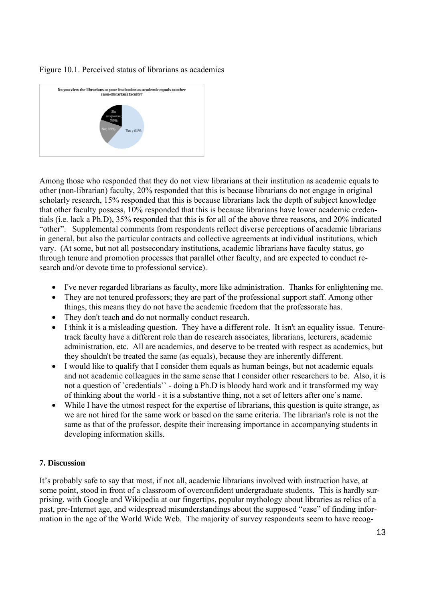Figure 10.1. Perceived status of librarians as academics



Among those who responded that they do not view librarians at their institution as academic equals to other (non-librarian) faculty, 20% responded that this is because librarians do not engage in original scholarly research, 15% responded that this is because librarians lack the depth of subject knowledge that other faculty possess, 10% responded that this is because librarians have lower academic credentials (i.e. lack a Ph.D), 35% responded that this is for all of the above three reasons, and 20% indicated "other". Supplemental comments from respondents reflect diverse perceptions of academic librarians in general, but also the particular contracts and collective agreements at individual institutions, which vary. (At some, but not all postsecondary institutions, academic librarians have faculty status, go through tenure and promotion processes that parallel other faculty, and are expected to conduct research and/or devote time to professional service).

- I've never regarded librarians as faculty, more like administration. Thanks for enlightening me.
- They are not tenured professors; they are part of the professional support staff. Among other things, this means they do not have the academic freedom that the professorate has.
- They don't teach and do not normally conduct research.
- I think it is a misleading question. They have a different role. It isn't an equality issue. Tenuretrack faculty have a different role than do research associates, librarians, lecturers, academic administration, etc. All are academics, and deserve to be treated with respect as academics, but they shouldn't be treated the same (as equals), because they are inherently different.
- I would like to qualify that I consider them equals as human beings, but not academic equals and not academic colleagues in the same sense that I consider other researchers to be. Also, it is not a question of `credentials`` - doing a Ph.D is bloody hard work and it transformed my way of thinking about the world - it is a substantive thing, not a set of letters after one`s name.
- While I have the utmost respect for the expertise of librarians, this question is quite strange, as we are not hired for the same work or based on the same criteria. The librarian's role is not the same as that of the professor, despite their increasing importance in accompanying students in developing information skills.

# **7. Discussion**

It's probably safe to say that most, if not all, academic librarians involved with instruction have, at some point, stood in front of a classroom of overconfident undergraduate students. This is hardly surprising, with Google and Wikipedia at our fingertips, popular mythology about libraries as relics of a past, pre-Internet age, and widespread misunderstandings about the supposed "ease" of finding information in the age of the World Wide Web. The majority of survey respondents seem to have recog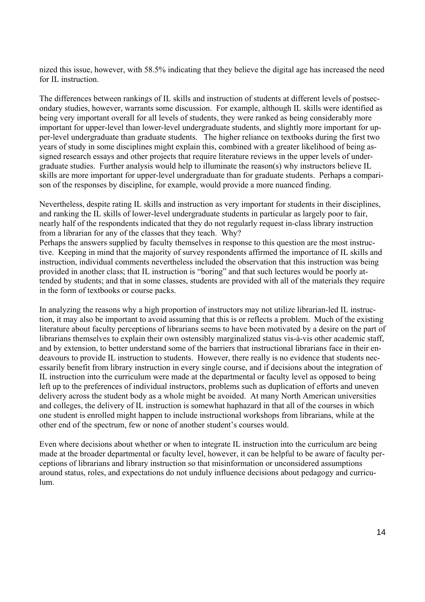nized this issue, however, with 58.5% indicating that they believe the digital age has increased the need for IL instruction.

The differences between rankings of IL skills and instruction of students at different levels of postsecondary studies, however, warrants some discussion. For example, although IL skills were identified as being very important overall for all levels of students, they were ranked as being considerably more important for upper-level than lower-level undergraduate students, and slightly more important for upper-level undergraduate than graduate students. The higher reliance on textbooks during the first two years of study in some disciplines might explain this, combined with a greater likelihood of being assigned research essays and other projects that require literature reviews in the upper levels of undergraduate studies. Further analysis would help to illuminate the reason(s) why instructors believe IL skills are more important for upper-level undergraduate than for graduate students. Perhaps a comparison of the responses by discipline, for example, would provide a more nuanced finding.

Nevertheless, despite rating IL skills and instruction as very important for students in their disciplines, and ranking the IL skills of lower-level undergraduate students in particular as largely poor to fair, nearly half of the respondents indicated that they do not regularly request in-class library instruction from a librarian for any of the classes that they teach. Why?

Perhaps the answers supplied by faculty themselves in response to this question are the most instructive. Keeping in mind that the majority of survey respondents affirmed the importance of IL skills and instruction, individual comments nevertheless included the observation that this instruction was being provided in another class; that IL instruction is "boring" and that such lectures would be poorly attended by students; and that in some classes, students are provided with all of the materials they require in the form of textbooks or course packs.

In analyzing the reasons why a high proportion of instructors may not utilize librarian-led IL instruction, it may also be important to avoid assuming that this is or reflects a problem. Much of the existing literature about faculty perceptions of librarians seems to have been motivated by a desire on the part of librarians themselves to explain their own ostensibly marginalized status vis-à-vis other academic staff, and by extension, to better understand some of the barriers that instructional librarians face in their endeavours to provide IL instruction to students. However, there really is no evidence that students necessarily benefit from library instruction in every single course, and if decisions about the integration of IL instruction into the curriculum were made at the departmental or faculty level as opposed to being left up to the preferences of individual instructors, problems such as duplication of efforts and uneven delivery across the student body as a whole might be avoided. At many North American universities and colleges, the delivery of IL instruction is somewhat haphazard in that all of the courses in which one student is enrolled might happen to include instructional workshops from librarians, while at the other end of the spectrum, few or none of another student's courses would.

Even where decisions about whether or when to integrate IL instruction into the curriculum are being made at the broader departmental or faculty level, however, it can be helpful to be aware of faculty perceptions of librarians and library instruction so that misinformation or unconsidered assumptions around status, roles, and expectations do not unduly influence decisions about pedagogy and curriculum.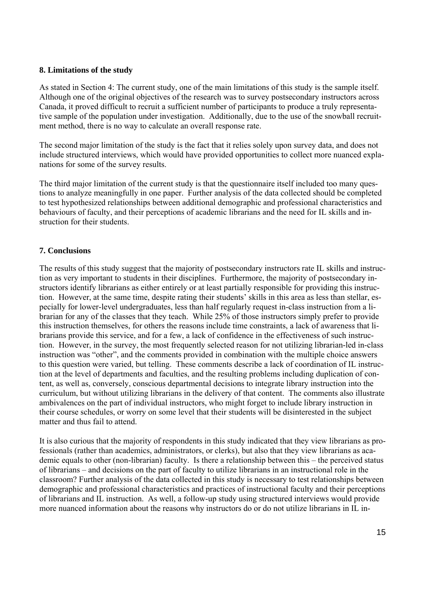# **8. Limitations of the study**

As stated in Section 4: The current study, one of the main limitations of this study is the sample itself. Although one of the original objectives of the research was to survey postsecondary instructors across Canada, it proved difficult to recruit a sufficient number of participants to produce a truly representative sample of the population under investigation. Additionally, due to the use of the snowball recruitment method, there is no way to calculate an overall response rate.

The second major limitation of the study is the fact that it relies solely upon survey data, and does not include structured interviews, which would have provided opportunities to collect more nuanced explanations for some of the survey results.

The third major limitation of the current study is that the questionnaire itself included too many questions to analyze meaningfully in one paper. Further analysis of the data collected should be completed to test hypothesized relationships between additional demographic and professional characteristics and behaviours of faculty, and their perceptions of academic librarians and the need for IL skills and instruction for their students.

# **7. Conclusions**

The results of this study suggest that the majority of postsecondary instructors rate IL skills and instruction as very important to students in their disciplines. Furthermore, the majority of postsecondary instructors identify librarians as either entirely or at least partially responsible for providing this instruction. However, at the same time, despite rating their students' skills in this area as less than stellar, especially for lower-level undergraduates, less than half regularly request in-class instruction from a librarian for any of the classes that they teach. While 25% of those instructors simply prefer to provide this instruction themselves, for others the reasons include time constraints, a lack of awareness that librarians provide this service, and for a few, a lack of confidence in the effectiveness of such instruction. However, in the survey, the most frequently selected reason for not utilizing librarian-led in-class instruction was "other", and the comments provided in combination with the multiple choice answers to this question were varied, but telling. These comments describe a lack of coordination of IL instruction at the level of departments and faculties, and the resulting problems including duplication of content, as well as, conversely, conscious departmental decisions to integrate library instruction into the curriculum, but without utilizing librarians in the delivery of that content. The comments also illustrate ambivalences on the part of individual instructors, who might forget to include library instruction in their course schedules, or worry on some level that their students will be disinterested in the subject matter and thus fail to attend.

It is also curious that the majority of respondents in this study indicated that they view librarians as professionals (rather than academics, administrators, or clerks), but also that they view librarians as academic equals to other (non-librarian) faculty. Is there a relationship between this – the perceived status of librarians – and decisions on the part of faculty to utilize librarians in an instructional role in the classroom? Further analysis of the data collected in this study is necessary to test relationships between demographic and professional characteristics and practices of instructional faculty and their perceptions of librarians and IL instruction. As well, a follow-up study using structured interviews would provide more nuanced information about the reasons why instructors do or do not utilize librarians in IL in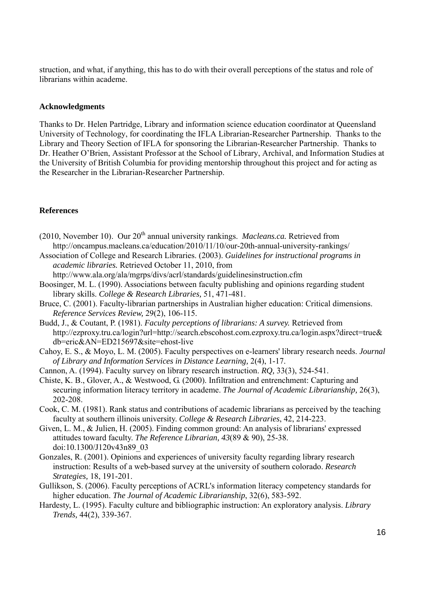struction, and what, if anything, this has to do with their overall perceptions of the status and role of librarians within academe.

## **Acknowledgments**

Thanks to Dr. Helen Partridge, Library and information science education coordinator at Queensland University of Technology, for coordinating the IFLA Librarian-Researcher Partnership. Thanks to the Library and Theory Section of IFLA for sponsoring the Librarian-Researcher Partnership. Thanks to Dr. Heather O'Brien, Assistant Professor at the School of Library, Archival, and Information Studies at the University of British Columbia for providing mentorship throughout this project and for acting as the Researcher in the Librarian-Researcher Partnership.

## **References**

- (2010, November 10). Our 20<sup>th</sup> annual university rankings. *Macleans.ca.* Retrieved from http://oncampus.macleans.ca/education/2010/11/10/our-20th-annual-university-rankings/
- Association of College and Research Libraries. (2003). *Guidelines for instructional programs in academic libraries.* Retrieved October 11, 2010, from

http://www.ala.org/ala/mgrps/divs/acrl/standards/guidelinesinstruction.cfm

- Boosinger, M. L. (1990). Associations between faculty publishing and opinions regarding student library skills. *College & Research Libraries,* 51, 471-481.
- Bruce, C. (2001). Faculty-librarian partnerships in Australian higher education: Critical dimensions. *Reference Services Review,* 29(2), 106-115.
- Budd, J., & Coutant, P. (1981). *Faculty perceptions of librarians: A survey.* Retrieved from http://ezproxy.tru.ca/login?url=http://search.ebscohost.com.ezproxy.tru.ca/login.aspx?direct=true& db=eric&AN=ED215697&site=ehost-live
- Cahoy, E. S., & Moyo, L. M. (2005). Faculty perspectives on e-learners' library research needs. *Journal of Library and Information Services in Distance Learning,* 2(4), 1-17.
- Cannon, A. (1994). Faculty survey on library research instruction. *RQ,* 33(3), 524-541.
- Chiste, K. B., Glover, A., & Westwood, G. (2000). Infiltration and entrenchment: Capturing and securing information literacy territory in academe. *The Journal of Academic Librarianship,* 26(3), 202-208.
- Cook, C. M. (1981). Rank status and contributions of academic librarians as perceived by the teaching faculty at southern illinois university. *College & Research Libraries*, 42, 214-223.
- Given, L. M., & Julien, H. (2005). Finding common ground: An analysis of librarians' expressed attitudes toward faculty. *The Reference Librarian, 43*(89 & 90), 25-38. doi:10.1300/J120v43n89\_03
- Gonzales, R. (2001). Opinions and experiences of university faculty regarding library research instruction: Results of a web-based survey at the university of southern colorado. *Research Strategies,* 18, 191-201.
- Gullikson, S. (2006). Faculty perceptions of ACRL's information literacy competency standards for higher education. *The Journal of Academic Librarianship*, 32(6), 583-592.
- Hardesty, L. (1995). Faculty culture and bibliographic instruction: An exploratory analysis. *Library Trends,* 44(2), 339-367.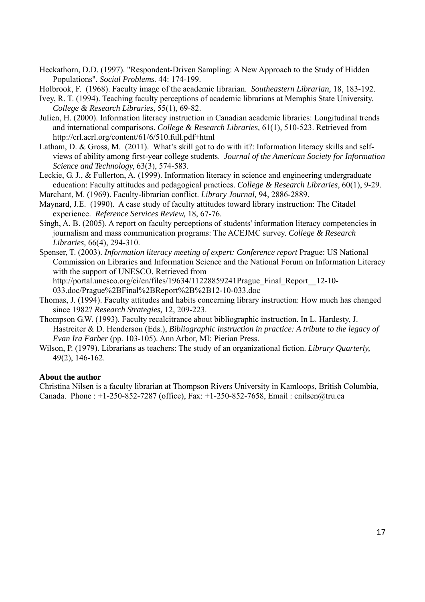Heckathorn, D.D. (1997). "Respondent-Driven Sampling: A New Approach to the Study of Hidden Populations". *Social Problems.* 44: 174-199.

Holbrook, F. (1968). Faculty image of the academic librarian. *Southeastern Librarian,* 18, 183-192.

- Ivey, R. T. (1994). Teaching faculty perceptions of academic librarians at Memphis State University. *College & Research Libraries,* 55(1), 69-82.
- Julien, H. (2000). Information literacy instruction in Canadian academic libraries: Longitudinal trends and international comparisons. *College & Research Libraries,* 61(1), 510-523. Retrieved from http://crl.acrl.org/content/61/6/510.full.pdf+html
- Latham, D. & Gross, M. (2011). What's skill got to do with it?: Information literacy skills and selfviews of ability among first-year college students. *Journal of the American Society for Information Science and Technology,* 63(3), 574-583.
- Leckie, G. J., & Fullerton, A. (1999). Information literacy in science and engineering undergraduate education: Faculty attitudes and pedagogical practices. *College & Research Libraries*, 60(1), 9-29.
- Marchant, M. (1969). Faculty-librarian conflict. *Library Journal,* 94, 2886-2889.
- Maynard, J.E. (1990). A case study of faculty attitudes toward library instruction: The Citadel experience. *Reference Services Review,* 18, 67-76.
- Singh, A. B. (2005). A report on faculty perceptions of students' information literacy competencies in journalism and mass communication programs: The ACEJMC survey. *College & Research Libraries,* 66(4), 294-310.
- Spenser, T. (2003). *Information literacy meeting of expert: Conference report* Prague: US National Commission on Libraries and Information Science and the National Forum on Information Literacy with the support of UNESCO. Retrieved from

http://portal.unesco.org/ci/en/files/19634/11228859241Prague\_Final\_Report\_12-10-033.doc/Prague%2BFinal%2BReport%2B%2B12-10-033.doc

- Thomas, J. (1994). Faculty attitudes and habits concerning library instruction: How much has changed since 1982? *Research Strategies,* 12, 209-223.
- Thompson G.W. (1993). Faculty recalcitrance about bibliographic instruction. In L. Hardesty, J. Hastreiter & D. Henderson (Eds.), *Bibliographic instruction in practice: A tribute to the legacy of Evan Ira Farber* (pp. 103-105). Ann Arbor, MI: Pierian Press.
- Wilson, P. (1979). Librarians as teachers: The study of an organizational fiction. *Library Quarterly,*  49(2), 146-162.

# **About the author**

Christina Nilsen is a faculty librarian at Thompson Rivers University in Kamloops, British Columbia, Canada. Phone :  $+1-250-852-7287$  (office), Fax:  $+1-250-852-7658$ , Email : cnilsen@tru.ca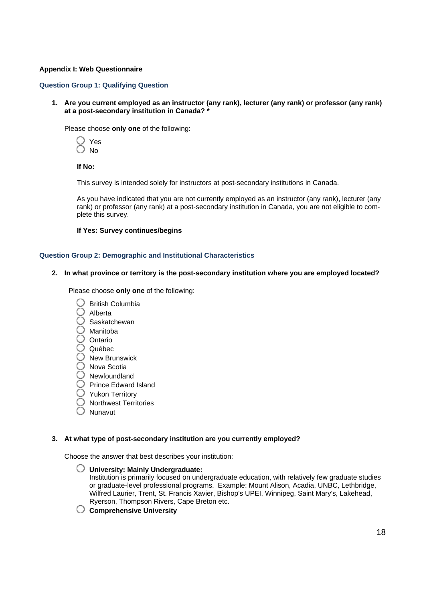#### **Appendix I: Web Questionnaire**

#### **Question Group 1: Qualifying Question**

**1. Are you current employed as an instructor (any rank), lecturer (any rank) or professor (any rank) at a post-secondary institution in Canada? \*** 

Please choose **only one** of the following:

 Yes  $\bigcirc$  No

**If No:** 

This survey is intended solely for instructors at post-secondary institutions in Canada.

As you have indicated that you are not currently employed as an instructor (any rank), lecturer (any rank) or professor (any rank) at a post-secondary institution in Canada, you are not eligible to complete this survey.

#### **If Yes: Survey continues/begins**

## **Question Group 2: Demographic and Institutional Characteristics**

#### **2. In what province or territory is the post-secondary institution where you are employed located?**

Please choose **only one** of the following:

 British Columbia  $\bigcirc$  Alberta  $\bigcirc$  Saskatchewan  $\bigcirc$  Manitoba O Ontario<br>O Ouébec Québec New Brunswick Nova Scotia Newfoundland  $\bigcirc$  Prince Edward Island Yukon Territory Northwest Territories Nunavut

## **3. At what type of post-secondary institution are you currently employed?**

Choose the answer that best describes your institution:

**University: Mainly Undergraduate:**  Institution is primarily focused on undergraduate education, with relatively few graduate studies or graduate-level professional programs. Example: Mount Alison, Acadia, UNBC, Lethbridge, Wilfred Laurier, Trent, St. Francis Xavier, Bishop's UPEI, Winnipeg, Saint Mary's, Lakehead, Ryerson, Thompson Rivers, Cape Breton etc.

**Comprehensive University**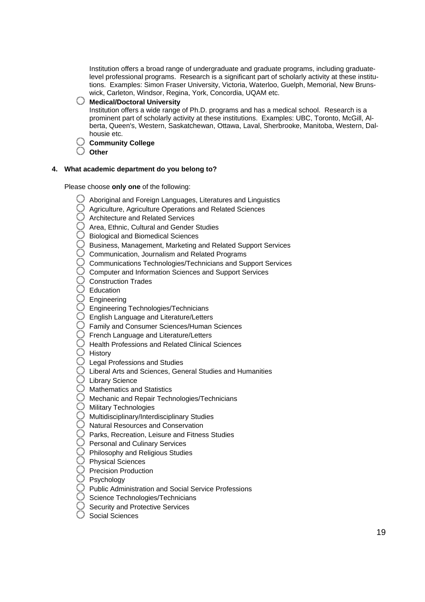Institution offers a broad range of undergraduate and graduate programs, including graduatelevel professional programs. Research is a significant part of scholarly activity at these institutions. Examples: Simon Fraser University, Victoria, Waterloo, Guelph, Memorial, New Brunswick, Carleton, Windsor, Regina, York, Concordia, UQAM etc.

## **Medical/Doctoral University**

Institution offers a wide range of Ph.D. programs and has a medical school. Research is a prominent part of scholarly activity at these institutions. Examples: UBC, Toronto, McGill, Alberta, Queen's, Western, Saskatchewan, Ottawa, Laval, Sherbrooke, Manitoba, Western, Dalhousie etc.

**Community College** 

**Other** 

## **4. What academic department do you belong to?**

Please choose **only one** of the following:

- $\bigcirc$  Aboriginal and Foreign Languages, Literatures and Linguistics
- Agriculture, Agriculture Operations and Related Sciences
- Architecture and Related Services
- Area, Ethnic, Cultural and Gender Studies
- Biological and Biomedical Sciences
- Business, Management, Marketing and Related Support Services
- Communication, Journalism and Related Programs
- $\bigcirc$  Communications Technologies/Technicians and Support Services
- Computer and Information Sciences and Support Services
- Construction Trades
- Education
- **Engineering**
- Engineering Technologies/Technicians
- English Language and Literature/Letters
- Family and Consumer Sciences/Human Sciences
- French Language and Literature/Letters
	- Health Professions and Related Clinical Sciences
	- History
- Legal Professions and Studies
- Liberal Arts and Sciences, General Studies and Humanities
	- Library Science
	- Mathematics and Statistics
	- Mechanic and Repair Technologies/Technicians
	- Military Technologies
	- Multidisciplinary/Interdisciplinary Studies
- Natural Resources and Conservation
	- Parks, Recreation, Leisure and Fitness Studies
- $\bigcirc$  Personal and Culinary Services
	- Philosophy and Religious Studies
- Physical Sciences
- Precision Production
- Psychology
- $\bigcirc$  Public Administration and Social Service Professions
- $\bigcirc$  Science Technologies/Technicians
- Security and Protective Services
- Social Sciences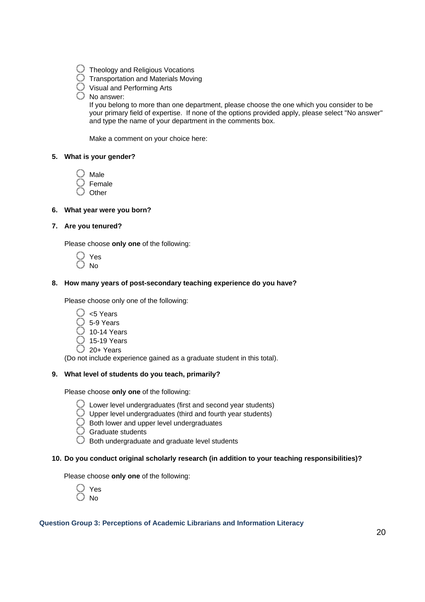Theology and Religious Vocations

Transportation and Materials Moving

Visual and Performing Arts

No answer:

If you belong to more than one department, please choose the one which you consider to be your primary field of expertise. If none of the options provided apply, please select "No answer" and type the name of your department in the comments box.

Make a comment on your choice here:

## **5. What is your gender?**

 $\bigcirc$  Male Female

**Other** 

**6. What year were you born?** 

## **7. Are you tenured?**

Please choose **only one** of the following:

 Yes No

### **8. How many years of post-secondary teaching experience do you have?**

Please choose only one of the following:

 $\bigcup$  <5 Years  $O$  5-9 Years  $\bigcirc$  10-14 Years 15-19 Years 20+ Years

(Do not include experience gained as a graduate student in this total).

## **9. What level of students do you teach, primarily?**

Please choose **only one** of the following:

- $\bigcirc$  Lower level undergraduates (first and second year students)
- Upper level undergraduates (third and fourth year students)
- $\bigcirc$  Both lower and upper level undergraduates
- $\bigcirc$  Graduate students
- $\bigcirc$  Both undergraduate and graduate level students

## **10. Do you conduct original scholarly research (in addition to your teaching responsibilities)?**

Please choose **only one** of the following:

 Yes No

## **Question Group 3: Perceptions of Academic Librarians and Information Literacy**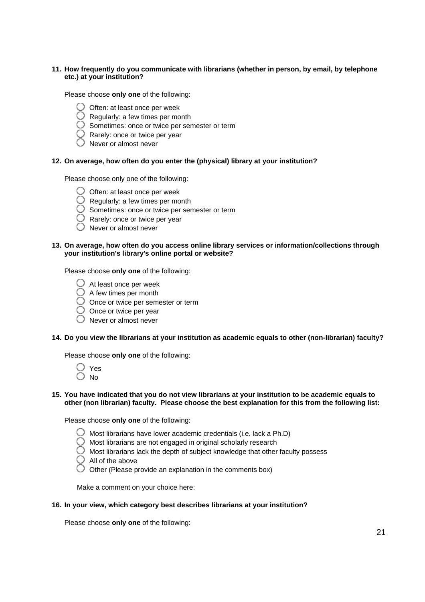### **11. How frequently do you communicate with librarians (whether in person, by email, by telephone etc.) at your institution?**

Please choose **only one** of the following:

- $\bigcup$  Often: at least once per week
- Regularly: a few times per month
- Sometimes: once or twice per semester or term
- Rarely: once or twice per year
- $\bigcirc$  Never or almost never

### **12. On average, how often do you enter the (physical) library at your institution?**

Please choose only one of the following:

- $\bigcirc$  Often: at least once per week
- $\bigcirc$  Regularly: a few times per month
- Sometimes: once or twice per semester or term
- $\overline{O}$  Rarely: once or twice per year
- Never or almost never

#### **13. On average, how often do you access online library services or information/collections through your institution's library's online portal or website?**

Please choose **only one** of the following:

- $\bigcirc$  At least once per week
- $\bigcirc$  A few times per month
- Once or twice per semester or term
- Once or twice per year
- Never or almost never

#### **14. Do you view the librarians at your institution as academic equals to other (non-librarian) faculty?**

Please choose **only one** of the following:

| Yes |
|-----|
| N٥  |

#### **15. You have indicated that you do not view librarians at your institution to be academic equals to other (non librarian) faculty. Please choose the best explanation for this from the following list:**

Please choose **only one** of the following:

- Most librarians have lower academic credentials (i.e. lack a Ph.D)
- $\bigcirc$  Most librarians are not engaged in original scholarly research
- $\bigcirc$  Most librarians lack the depth of subject knowledge that other faculty possess
- All of the above
- Other (Please provide an explanation in the comments box)

Make a comment on your choice here:

### **16. In your view, which category best describes librarians at your institution?**

Please choose **only one** of the following: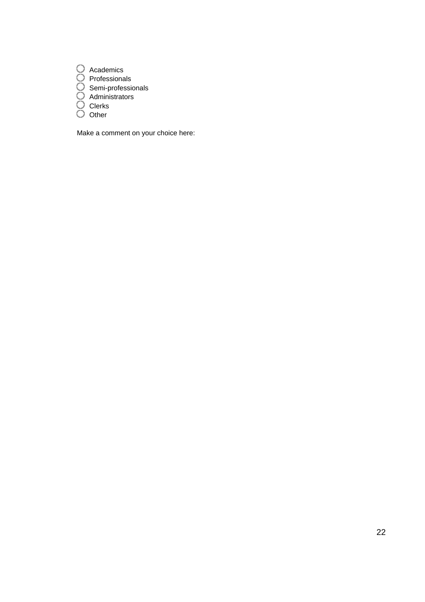Academics Professionals Semi-professionals Administrators Clerks **Other** 

Make a comment on your choice here: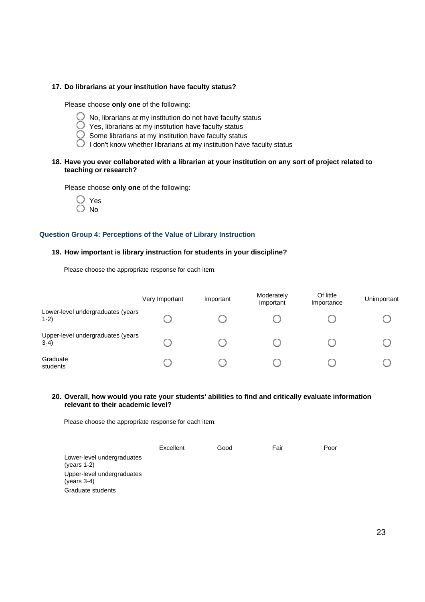#### **17. Do librarians at your institution have faculty status?**

Please choose **only one** of the following:



- $\bigcirc$  No, librarians at my institution do not have faculty status
- Yes, librarians at my institution have faculty status
- Some librarians at my institution have faculty status
- $\overline{O}$  I don't know whether librarians at my institution have faculty status

## **18. Have you ever collaborated with a librarian at your institution on any sort of project related to teaching or research?**

Please choose **only one** of the following:



### **Question Group 4: Perceptions of the Value of Library Instruction**

### **19. How important is library instruction for students in your discipline?**

Please choose the appropriate response for each item:

|                                             | Very Important | Important | Moderately<br>Important | Of little<br>Importance | Unimportant |
|---------------------------------------------|----------------|-----------|-------------------------|-------------------------|-------------|
| Lower-level undergraduates (years<br>$1-2)$ |                |           |                         |                         |             |
| Upper-level undergraduates (years<br>$3-4)$ |                |           |                         |                         |             |
| Graduate<br>students                        |                |           |                         |                         |             |

#### **20. Overall, how would you rate your students' abilities to find and critically evaluate information relevant to their academic level?**

Please choose the appropriate response for each item:

|                                              | Excellent | Good | Fair | Poor |
|----------------------------------------------|-----------|------|------|------|
| Lower-level undergraduates<br>(years $1-2$ ) |           |      |      |      |
| Upper-level undergraduates<br>(years $3-4$ ) |           |      |      |      |
| Graduate students                            |           |      |      |      |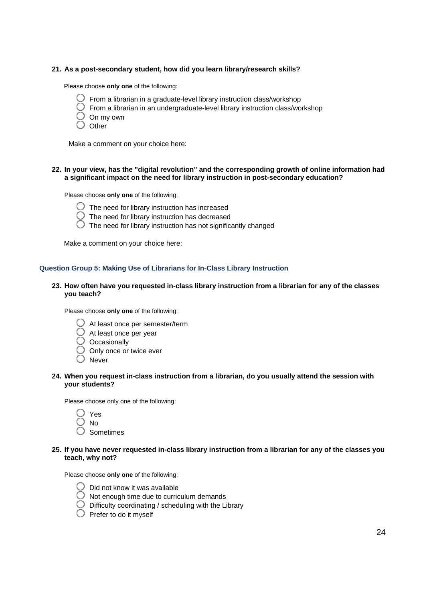## **21. As a post-secondary student, how did you learn library/research skills?**

Please choose **only one** of the following:

- $\bigcirc$  From a librarian in a graduate-level library instruction class/workshop
- $\bigcirc$  From a librarian in an undergraduate-level library instruction class/workshop
- On my own
- **Other**

Make a comment on your choice here:

### **22. In your view, has the "digital revolution" and the corresponding growth of online information had a significant impact on the need for library instruction in post-secondary education?**

Please choose **only one** of the following:

- The need for library instruction has increased
- $\bigcirc$  The need for library instruction has decreased
- $\bigcirc$  The need for library instruction has not significantly changed

Make a comment on your choice here:

#### **Question Group 5: Making Use of Librarians for In-Class Library Instruction**

#### **23. How often have you requested in-class library instruction from a librarian for any of the classes you teach?**

Please choose **only one** of the following:

- At least once per semester/term
- $\bigcirc$  At least once per year
- $\bigcirc$  Occasionally
- Only once or twice ever
- Never
- **24. When you request in-class instruction from a librarian, do you usually attend the session with your students?**

Please choose only one of the following:

| Yes       |
|-----------|
| N٥        |
| Sometimes |

### **25. If you have never requested in-class library instruction from a librarian for any of the classes you teach, why not?**

Please choose **only one** of the following:



- $\bigcirc$  Not enough time due to curriculum demands
- $\bigcirc$  Difficulty coordinating / scheduling with the Library
- $\bigcirc$  Prefer to do it myself